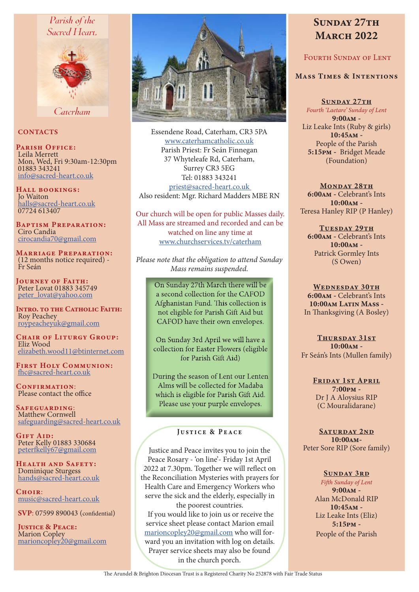# Parish of the Sacred Heart.



Caterham

### **CONTACTS**

PARISH OFFICE: Leila Merrett Mon, Wed, Fri 9:30am-12:30pm 01883 343241 info@sacred-heart.co.uk

Hall bookings: Jo Waiton halls@sacred-heart.co.uk 07724 613407

Baptism Preparation: Ciro Candia cirocandia70@gmail.com

Marriage Preparation: (12 months notice required) - Fr Seán

Journey of Faith: Peter Lovat 01883 345749 peter\_lovat@yahoo.com

INTRO. TO THE CATHOLIC FAITH: Roy Peachey roypeacheyuk@gmail.com

CHAIR OF LITURGY GROUP: Eliz Wood elizabeth.wood11@btinternet.com

First Holy Communion: fhc@sacred-heart.co.uk

CONFIRMATION: Please contact the office

Safeguarding: Matthew Cornwell safeguarding@sacred-heart.co.uk

GIFT AID: Peter Kelly 01883 330684 peterfkelly67@gmail.com

Health and Safety: Dominique Sturgess hands@sacred-heart.co.uk

 $C$ HOIP: music@sacred-heart.co.uk

SVP: 07599 890043 (confidential)

JUSTICE & PEACE: Marion Copley marioncopley20@gmail.com



Essendene Road, Caterham, CR3 5PA www.caterhamcatholic.co.uk Parish Priest: Fr Seán Finnegan 37 Whyteleafe Rd, Caterham, Surrey CR3 5EG Tel: 01883 343241 priest@sacred-heart.co.uk Also resident: Mgr. Richard Madders MBE RN

Our church will be open for public Masses daily. All Mass are streamed and recorded and can be watched on line any time at www.churchservices.tv/caterham

*Please note that the obligation to attend Sunday Mass remains suspended.*

> On Sunday 27th March there will be a second collection for the CAFOD Afghanistan Fund. This collection is not eligible for Parish Gift Aid but CAFOD have their own envelopes.

> On Sunday 3rd April we will have a collection for Easter Flowers (eligible for Parish Gift Aid)

During the season of Lent our Lenten Alms will be collected for Madaba which is eligible for Parish Gift Aid. Please use your purple envelopes.

### Justice & Peace

Justice and Peace invites you to join the Peace Rosary - 'on line'- Friday 1st April 2022 at 7.30pm. Together we will reflect on the Reconciliation Mysteries with prayers for Health Care and Emergency Workers who serve the sick and the elderly, especially in

the poorest countries. If you would like to join us or receive the service sheet please contact Marion email marioncopley20@gmail.com who will forward you an invitation with log on details. Prayer service sheets may also be found in the church porch.

# SUNDAY 27TH **MARCH 2022**

# FOURTH SUNDAY OF LENT

### Mass Times & Intentions

SUNDAY 27TH *Fourth 'Laetare' Sunday of Lent* 9:00am - Liz Leake Ints (Ruby & girls) 10:45am - People of the Parish 5:15pm - Bridget Meade (Foundation)

MONDAY 28TH 6:00am - Celebrant's Ints 10:00am - Teresa Hanley RIP (P Hanley)

TUESDAY 29TH 6:00am - Celebrant's Ints  $10:00AM -$ Patrick Gormley Ints (S Owen)

WEDNESDAY 30TH 6:00am - Celebrant's Ints 10:00am Latin Mass - In Thanksgiving (A Bosley)

THURSDAY 31ST  $10:00AM -$ Fr Seán's Ints (Mullen family)

> Friday 1st April 7:00pm - Dr J A Aloysius RIP (C Mouralidarane)

SATURDAY 2ND 10:00am-Peter Sore RIP (Sore family)

> SUNDAY 3RD *Fifth Sunday of Lent*  $9:00AM -$ Alan McDonald RIP 10:45am - Liz Leake Ints (Eliz) 5:15pm - People of the Parish